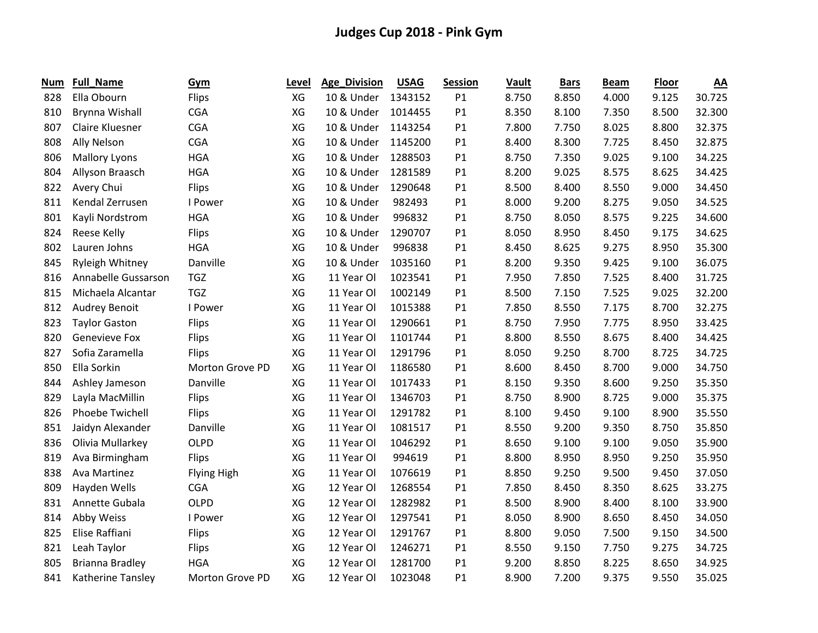| Num | <b>Full_Name</b>       | Gym             | Level | <b>Age_Division</b> | <b>USAG</b> | <b>Session</b> | Vault | <b>Bars</b> | <b>Beam</b> | <b>Floor</b> | $\underline{AA}$ |
|-----|------------------------|-----------------|-------|---------------------|-------------|----------------|-------|-------------|-------------|--------------|------------------|
| 828 | Ella Obourn            | Flips           | XG    | 10 & Under          | 1343152     | P1             | 8.750 | 8.850       | 4.000       | 9.125        | 30.725           |
| 810 | Brynna Wishall         | <b>CGA</b>      | XG    | 10 & Under          | 1014455     | P1             | 8.350 | 8.100       | 7.350       | 8.500        | 32.300           |
| 807 | Claire Kluesner        | <b>CGA</b>      | XG    | 10 & Under          | 1143254     | P1             | 7.800 | 7.750       | 8.025       | 8.800        | 32.375           |
| 808 | Ally Nelson            | <b>CGA</b>      | XG    | 10 & Under          | 1145200     | P1             | 8.400 | 8.300       | 7.725       | 8.450        | 32.875           |
| 806 | <b>Mallory Lyons</b>   | <b>HGA</b>      | XG    | 10 & Under          | 1288503     | P1             | 8.750 | 7.350       | 9.025       | 9.100        | 34.225           |
| 804 | Allyson Braasch        | <b>HGA</b>      | XG    | 10 & Under          | 1281589     | P1             | 8.200 | 9.025       | 8.575       | 8.625        | 34.425           |
| 822 | Avery Chui             | Flips           | XG    | 10 & Under          | 1290648     | P1             | 8.500 | 8.400       | 8.550       | 9.000        | 34.450           |
| 811 | Kendal Zerrusen        | I Power         | XG    | 10 & Under          | 982493      | P1             | 8.000 | 9.200       | 8.275       | 9.050        | 34.525           |
| 801 | Kayli Nordstrom        | <b>HGA</b>      | XG    | 10 & Under          | 996832      | P1             | 8.750 | 8.050       | 8.575       | 9.225        | 34.600           |
| 824 | Reese Kelly            | Flips           | XG    | 10 & Under          | 1290707     | P1             | 8.050 | 8.950       | 8.450       | 9.175        | 34.625           |
| 802 | Lauren Johns           | <b>HGA</b>      | XG    | 10 & Under          | 996838      | P <sub>1</sub> | 8.450 | 8.625       | 9.275       | 8.950        | 35.300           |
| 845 | Ryleigh Whitney        | Danville        | XG    | 10 & Under          | 1035160     | P1             | 8.200 | 9.350       | 9.425       | 9.100        | 36.075           |
| 816 | Annabelle Gussarson    | <b>TGZ</b>      | XG    | 11 Year Ol          | 1023541     | P1             | 7.950 | 7.850       | 7.525       | 8.400        | 31.725           |
| 815 | Michaela Alcantar      | <b>TGZ</b>      | XG    | 11 Year Ol          | 1002149     | P1             | 8.500 | 7.150       | 7.525       | 9.025        | 32.200           |
| 812 | <b>Audrey Benoit</b>   | I Power         | XG    | 11 Year Ol          | 1015388     | P1             | 7.850 | 8.550       | 7.175       | 8.700        | 32.275           |
| 823 | <b>Taylor Gaston</b>   | <b>Flips</b>    | XG    | 11 Year Ol          | 1290661     | P1             | 8.750 | 7.950       | 7.775       | 8.950        | 33.425           |
| 820 | <b>Genevieve Fox</b>   | Flips           | XG    | 11 Year Ol          | 1101744     | P1             | 8.800 | 8.550       | 8.675       | 8.400        | 34.425           |
| 827 | Sofia Zaramella        | <b>Flips</b>    | XG    | 11 Year Ol          | 1291796     | P1             | 8.050 | 9.250       | 8.700       | 8.725        | 34.725           |
| 850 | Ella Sorkin            | Morton Grove PD | XG    | 11 Year Ol          | 1186580     | P1             | 8.600 | 8.450       | 8.700       | 9.000        | 34.750           |
| 844 | Ashley Jameson         | Danville        | XG    | 11 Year Ol          | 1017433     | P1             | 8.150 | 9.350       | 8.600       | 9.250        | 35.350           |
| 829 | Layla MacMillin        | Flips           | XG    | 11 Year Ol          | 1346703     | P1             | 8.750 | 8.900       | 8.725       | 9.000        | 35.375           |
| 826 | Phoebe Twichell        | Flips           | XG    | 11 Year Ol          | 1291782     | P1             | 8.100 | 9.450       | 9.100       | 8.900        | 35.550           |
| 851 | Jaidyn Alexander       | Danville        | XG    | 11 Year Ol          | 1081517     | P1             | 8.550 | 9.200       | 9.350       | 8.750        | 35.850           |
| 836 | Olivia Mullarkey       | OLPD            | XG    | 11 Year Ol          | 1046292     | P1             | 8.650 | 9.100       | 9.100       | 9.050        | 35.900           |
| 819 | Ava Birmingham         | Flips           | XG    | 11 Year Ol          | 994619      | P1             | 8.800 | 8.950       | 8.950       | 9.250        | 35.950           |
| 838 | Ava Martinez           | Flying High     | XG    | 11 Year Ol          | 1076619     | P1             | 8.850 | 9.250       | 9.500       | 9.450        | 37.050           |
| 809 | Hayden Wells           | <b>CGA</b>      | XG    | 12 Year Ol          | 1268554     | P1             | 7.850 | 8.450       | 8.350       | 8.625        | 33.275           |
| 831 | Annette Gubala         | <b>OLPD</b>     | XG    | 12 Year Ol          | 1282982     | P <sub>1</sub> | 8.500 | 8.900       | 8.400       | 8.100        | 33.900           |
| 814 | Abby Weiss             | I Power         | XG    | 12 Year Ol          | 1297541     | P1             | 8.050 | 8.900       | 8.650       | 8.450        | 34.050           |
| 825 | Elise Raffiani         | Flips           | XG    | 12 Year Ol          | 1291767     | P1             | 8.800 | 9.050       | 7.500       | 9.150        | 34.500           |
| 821 | Leah Taylor            | <b>Flips</b>    | XG    | 12 Year Ol          | 1246271     | P1             | 8.550 | 9.150       | 7.750       | 9.275        | 34.725           |
| 805 | <b>Brianna Bradley</b> | <b>HGA</b>      | XG    | 12 Year Ol          | 1281700     | P1             | 9.200 | 8.850       | 8.225       | 8.650        | 34.925           |
| 841 | Katherine Tansley      | Morton Grove PD | XG    | 12 Year Ol          | 1023048     | P1             | 8.900 | 7.200       | 9.375       | 9.550        | 35.025           |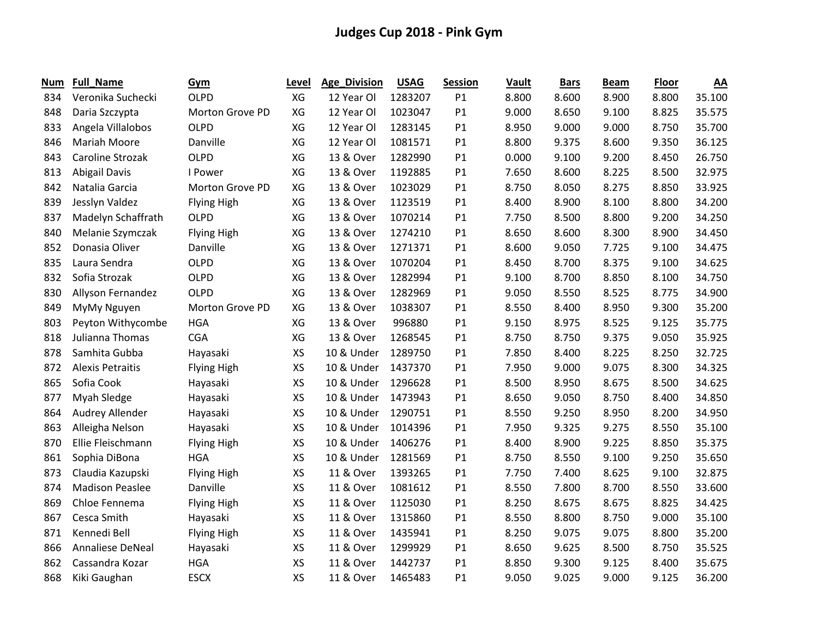| Num | <b>Full_Name</b>        | Gym                | Level | <b>Age_Division</b> | <b>USAG</b> | <b>Session</b> | Vault | <b>Bars</b> | <b>Beam</b> | <b>Floor</b> | $\underline{AA}$ |
|-----|-------------------------|--------------------|-------|---------------------|-------------|----------------|-------|-------------|-------------|--------------|------------------|
| 834 | Veronika Suchecki       | <b>OLPD</b>        | XG    | 12 Year Ol          | 1283207     | P1             | 8.800 | 8.600       | 8.900       | 8.800        | 35.100           |
| 848 | Daria Szczypta          | Morton Grove PD    | XG    | 12 Year Ol          | 1023047     | P1             | 9.000 | 8.650       | 9.100       | 8.825        | 35.575           |
| 833 | Angela Villalobos       | <b>OLPD</b>        | XG    | 12 Year Ol          | 1283145     | P1             | 8.950 | 9.000       | 9.000       | 8.750        | 35.700           |
| 846 | <b>Mariah Moore</b>     | Danville           | XG    | 12 Year Ol          | 1081571     | P1             | 8.800 | 9.375       | 8.600       | 9.350        | 36.125           |
| 843 | Caroline Strozak        | <b>OLPD</b>        | XG    | 13 & Over           | 1282990     | P1             | 0.000 | 9.100       | 9.200       | 8.450        | 26.750           |
| 813 | <b>Abigail Davis</b>    | I Power            | XG    | 13 & Over           | 1192885     | P1             | 7.650 | 8.600       | 8.225       | 8.500        | 32.975           |
| 842 | Natalia Garcia          | Morton Grove PD    | XG    | 13 & Over           | 1023029     | P1             | 8.750 | 8.050       | 8.275       | 8.850        | 33.925           |
| 839 | Jesslyn Valdez          | <b>Flying High</b> | XG    | 13 & Over           | 1123519     | P1             | 8.400 | 8.900       | 8.100       | 8.800        | 34.200           |
| 837 | Madelyn Schaffrath      | <b>OLPD</b>        | XG    | 13 & Over           | 1070214     | P1             | 7.750 | 8.500       | 8.800       | 9.200        | 34.250           |
| 840 | Melanie Szymczak        | <b>Flying High</b> | XG    | 13 & Over           | 1274210     | P1             | 8.650 | 8.600       | 8.300       | 8.900        | 34.450           |
| 852 | Donasia Oliver          | Danville           | XG    | 13 & Over           | 1271371     | P1             | 8.600 | 9.050       | 7.725       | 9.100        | 34.475           |
| 835 | Laura Sendra            | <b>OLPD</b>        | XG    | 13 & Over           | 1070204     | P1             | 8.450 | 8.700       | 8.375       | 9.100        | 34.625           |
| 832 | Sofia Strozak           | <b>OLPD</b>        | XG    | 13 & Over           | 1282994     | P1             | 9.100 | 8.700       | 8.850       | 8.100        | 34.750           |
| 830 | Allyson Fernandez       | <b>OLPD</b>        | XG    | 13 & Over           | 1282969     | P1             | 9.050 | 8.550       | 8.525       | 8.775        | 34.900           |
| 849 | MyMy Nguyen             | Morton Grove PD    | XG    | 13 & Over           | 1038307     | P1             | 8.550 | 8.400       | 8.950       | 9.300        | 35.200           |
| 803 | Peyton Withycombe       | <b>HGA</b>         | XG    | 13 & Over           | 996880      | P1             | 9.150 | 8.975       | 8.525       | 9.125        | 35.775           |
| 818 | Julianna Thomas         | <b>CGA</b>         | XG    | 13 & Over           | 1268545     | P1             | 8.750 | 8.750       | 9.375       | 9.050        | 35.925           |
| 878 | Samhita Gubba           | Hayasaki           | XS    | 10 & Under          | 1289750     | P1             | 7.850 | 8.400       | 8.225       | 8.250        | 32.725           |
| 872 | <b>Alexis Petraitis</b> | Flying High        | XS    | 10 & Under          | 1437370     | P1             | 7.950 | 9.000       | 9.075       | 8.300        | 34.325           |
| 865 | Sofia Cook              | Hayasaki           | XS    | 10 & Under          | 1296628     | P1             | 8.500 | 8.950       | 8.675       | 8.500        | 34.625           |
| 877 | Myah Sledge             | Hayasaki           | XS    | 10 & Under          | 1473943     | P1             | 8.650 | 9.050       | 8.750       | 8.400        | 34.850           |
| 864 | Audrey Allender         | Hayasaki           | XS    | 10 & Under          | 1290751     | P1             | 8.550 | 9.250       | 8.950       | 8.200        | 34.950           |
| 863 | Alleigha Nelson         | Hayasaki           | XS    | 10 & Under          | 1014396     | P1             | 7.950 | 9.325       | 9.275       | 8.550        | 35.100           |
| 870 | Ellie Fleischmann       | <b>Flying High</b> | XS    | 10 & Under          | 1406276     | P1             | 8.400 | 8.900       | 9.225       | 8.850        | 35.375           |
| 861 | Sophia DiBona           | <b>HGA</b>         | XS    | 10 & Under          | 1281569     | P1             | 8.750 | 8.550       | 9.100       | 9.250        | 35.650           |
| 873 | Claudia Kazupski        | <b>Flying High</b> | XS    | 11 & Over           | 1393265     | P1             | 7.750 | 7.400       | 8.625       | 9.100        | 32.875           |
| 874 | <b>Madison Peaslee</b>  | Danville           | XS    | 11 & Over           | 1081612     | P1             | 8.550 | 7.800       | 8.700       | 8.550        | 33.600           |
| 869 | Chloe Fennema           | <b>Flying High</b> | XS    | 11 & Over           | 1125030     | P1             | 8.250 | 8.675       | 8.675       | 8.825        | 34.425           |
| 867 | Cesca Smith             | Hayasaki           | XS    | 11 & Over           | 1315860     | P1             | 8.550 | 8.800       | 8.750       | 9.000        | 35.100           |
| 871 | Kennedi Bell            | <b>Flying High</b> | XS    | 11 & Over           | 1435941     | P1             | 8.250 | 9.075       | 9.075       | 8.800        | 35.200           |
| 866 | <b>Annaliese DeNeal</b> | Hayasaki           | XS    | 11 & Over           | 1299929     | P1             | 8.650 | 9.625       | 8.500       | 8.750        | 35.525           |
| 862 | Cassandra Kozar         | <b>HGA</b>         | XS    | 11 & Over           | 1442737     | P1             | 8.850 | 9.300       | 9.125       | 8.400        | 35.675           |
| 868 | Kiki Gaughan            | <b>ESCX</b>        | XS    | 11 & Over           | 1465483     | P1             | 9.050 | 9.025       | 9.000       | 9.125        | 36.200           |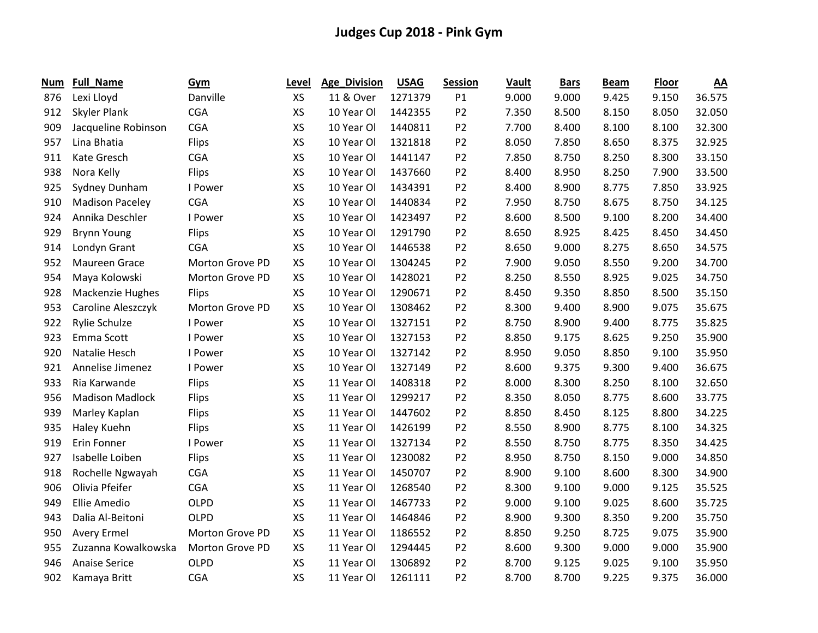| Num | <b>Full_Name</b>       | Gym             | Level     | <b>Age_Division</b> | <b>USAG</b> | <b>Session</b> | Vault | <b>Bars</b> | <b>Beam</b> | <b>Floor</b> | $\underline{AA}$ |
|-----|------------------------|-----------------|-----------|---------------------|-------------|----------------|-------|-------------|-------------|--------------|------------------|
| 876 | Lexi Lloyd             | Danville        | <b>XS</b> | 11 & Over           | 1271379     | P1             | 9.000 | 9.000       | 9.425       | 9.150        | 36.575           |
| 912 | Skyler Plank           | <b>CGA</b>      | XS        | 10 Year Ol          | 1442355     | P <sub>2</sub> | 7.350 | 8.500       | 8.150       | 8.050        | 32.050           |
| 909 | Jacqueline Robinson    | <b>CGA</b>      | XS        | 10 Year Ol          | 1440811     | P <sub>2</sub> | 7.700 | 8.400       | 8.100       | 8.100        | 32.300           |
| 957 | Lina Bhatia            | Flips           | XS        | 10 Year Ol          | 1321818     | P <sub>2</sub> | 8.050 | 7.850       | 8.650       | 8.375        | 32.925           |
| 911 | Kate Gresch            | <b>CGA</b>      | XS        | 10 Year Ol          | 1441147     | P <sub>2</sub> | 7.850 | 8.750       | 8.250       | 8.300        | 33.150           |
| 938 | Nora Kelly             | Flips           | XS        | 10 Year Ol          | 1437660     | P <sub>2</sub> | 8.400 | 8.950       | 8.250       | 7.900        | 33.500           |
| 925 | Sydney Dunham          | I Power         | XS        | 10 Year Ol          | 1434391     | P <sub>2</sub> | 8.400 | 8.900       | 8.775       | 7.850        | 33.925           |
| 910 | <b>Madison Paceley</b> | <b>CGA</b>      | XS        | 10 Year Ol          | 1440834     | P <sub>2</sub> | 7.950 | 8.750       | 8.675       | 8.750        | 34.125           |
| 924 | Annika Deschler        | I Power         | XS        | 10 Year Ol          | 1423497     | P <sub>2</sub> | 8.600 | 8.500       | 9.100       | 8.200        | 34.400           |
| 929 | <b>Brynn Young</b>     | Flips           | XS        | 10 Year Ol          | 1291790     | P <sub>2</sub> | 8.650 | 8.925       | 8.425       | 8.450        | 34.450           |
| 914 | Londyn Grant           | <b>CGA</b>      | XS        | 10 Year Ol          | 1446538     | P <sub>2</sub> | 8.650 | 9.000       | 8.275       | 8.650        | 34.575           |
| 952 | Maureen Grace          | Morton Grove PD | XS        | 10 Year Ol          | 1304245     | P <sub>2</sub> | 7.900 | 9.050       | 8.550       | 9.200        | 34.700           |
| 954 | Maya Kolowski          | Morton Grove PD | XS        | 10 Year Ol          | 1428021     | P <sub>2</sub> | 8.250 | 8.550       | 8.925       | 9.025        | 34.750           |
| 928 | Mackenzie Hughes       | <b>Flips</b>    | XS        | 10 Year Ol          | 1290671     | P <sub>2</sub> | 8.450 | 9.350       | 8.850       | 8.500        | 35.150           |
| 953 | Caroline Aleszczyk     | Morton Grove PD | XS        | 10 Year Ol          | 1308462     | P <sub>2</sub> | 8.300 | 9.400       | 8.900       | 9.075        | 35.675           |
| 922 | Rylie Schulze          | I Power         | XS        | 10 Year Ol          | 1327151     | P <sub>2</sub> | 8.750 | 8.900       | 9.400       | 8.775        | 35.825           |
| 923 | Emma Scott             | I Power         | XS        | 10 Year Ol          | 1327153     | P <sub>2</sub> | 8.850 | 9.175       | 8.625       | 9.250        | 35.900           |
| 920 | Natalie Hesch          | I Power         | XS        | 10 Year Ol          | 1327142     | P <sub>2</sub> | 8.950 | 9.050       | 8.850       | 9.100        | 35.950           |
| 921 | Annelise Jimenez       | I Power         | XS        | 10 Year Ol          | 1327149     | P <sub>2</sub> | 8.600 | 9.375       | 9.300       | 9.400        | 36.675           |
| 933 | Ria Karwande           | Flips           | XS        | 11 Year Ol          | 1408318     | P <sub>2</sub> | 8.000 | 8.300       | 8.250       | 8.100        | 32.650           |
| 956 | <b>Madison Madlock</b> | Flips           | XS        | 11 Year Ol          | 1299217     | P <sub>2</sub> | 8.350 | 8.050       | 8.775       | 8.600        | 33.775           |
| 939 | Marley Kaplan          | Flips           | XS        | 11 Year Ol          | 1447602     | P <sub>2</sub> | 8.850 | 8.450       | 8.125       | 8.800        | 34.225           |
| 935 | Haley Kuehn            | <b>Flips</b>    | XS        | 11 Year Ol          | 1426199     | P <sub>2</sub> | 8.550 | 8.900       | 8.775       | 8.100        | 34.325           |
| 919 | <b>Erin Fonner</b>     | I Power         | XS        | 11 Year Ol          | 1327134     | P <sub>2</sub> | 8.550 | 8.750       | 8.775       | 8.350        | 34.425           |
| 927 | Isabelle Loiben        | Flips           | XS        | 11 Year Ol          | 1230082     | P <sub>2</sub> | 8.950 | 8.750       | 8.150       | 9.000        | 34.850           |
| 918 | Rochelle Ngwayah       | <b>CGA</b>      | XS        | 11 Year Ol          | 1450707     | P <sub>2</sub> | 8.900 | 9.100       | 8.600       | 8.300        | 34.900           |
| 906 | Olivia Pfeifer         | <b>CGA</b>      | XS        | 11 Year Ol          | 1268540     | P <sub>2</sub> | 8.300 | 9.100       | 9.000       | 9.125        | 35.525           |
| 949 | <b>Ellie Amedio</b>    | <b>OLPD</b>     | XS        | 11 Year Ol          | 1467733     | P <sub>2</sub> | 9.000 | 9.100       | 9.025       | 8.600        | 35.725           |
| 943 | Dalia Al-Beitoni       | <b>OLPD</b>     | XS        | 11 Year Ol          | 1464846     | P <sub>2</sub> | 8.900 | 9.300       | 8.350       | 9.200        | 35.750           |
| 950 | <b>Avery Ermel</b>     | Morton Grove PD | XS        | 11 Year Ol          | 1186552     | P <sub>2</sub> | 8.850 | 9.250       | 8.725       | 9.075        | 35.900           |
| 955 | Zuzanna Kowalkowska    | Morton Grove PD | XS        | 11 Year Ol          | 1294445     | P <sub>2</sub> | 8.600 | 9.300       | 9.000       | 9.000        | 35.900           |
| 946 | <b>Anaise Serice</b>   | <b>OLPD</b>     | XS        | 11 Year Ol          | 1306892     | P <sub>2</sub> | 8.700 | 9.125       | 9.025       | 9.100        | 35.950           |
| 902 | Kamaya Britt           | <b>CGA</b>      | XS        | 11 Year Ol          | 1261111     | P <sub>2</sub> | 8.700 | 8.700       | 9.225       | 9.375        | 36.000           |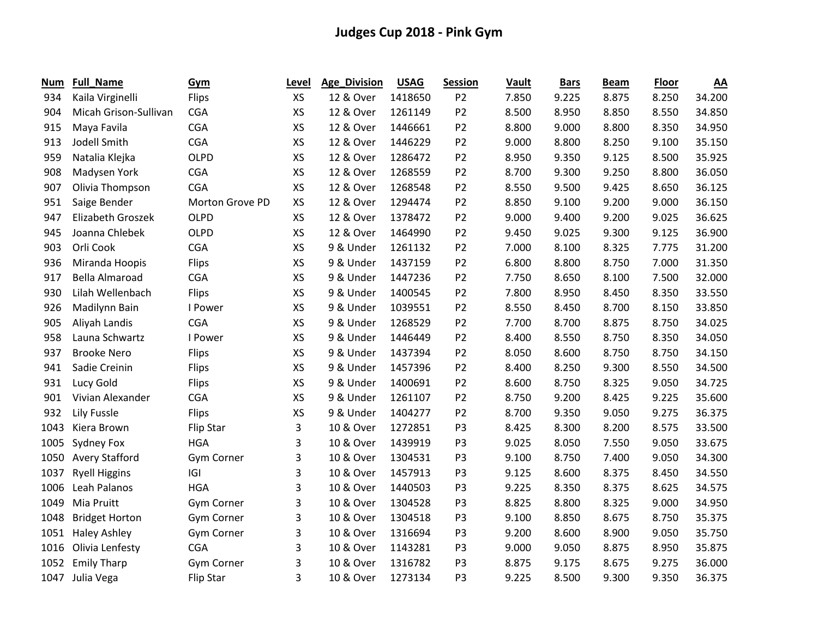| Num  | <b>Full_Name</b>      | Gym              | Level     | <b>Age_Division</b> | <b>USAG</b> | <b>Session</b> | Vault | <b>Bars</b> | <b>Beam</b> | <b>Floor</b> | $\underline{AA}$ |
|------|-----------------------|------------------|-----------|---------------------|-------------|----------------|-------|-------------|-------------|--------------|------------------|
| 934  | Kaila Virginelli      | Flips            | <b>XS</b> | 12 & Over           | 1418650     | P <sub>2</sub> | 7.850 | 9.225       | 8.875       | 8.250        | 34.200           |
| 904  | Micah Grison-Sullivan | <b>CGA</b>       | XS        | 12 & Over           | 1261149     | P <sub>2</sub> | 8.500 | 8.950       | 8.850       | 8.550        | 34.850           |
| 915  | Maya Favila           | <b>CGA</b>       | XS        | 12 & Over           | 1446661     | P <sub>2</sub> | 8.800 | 9.000       | 8.800       | 8.350        | 34.950           |
| 913  | Jodell Smith          | <b>CGA</b>       | XS        | 12 & Over           | 1446229     | P <sub>2</sub> | 9.000 | 8.800       | 8.250       | 9.100        | 35.150           |
| 959  | Natalia Klejka        | <b>OLPD</b>      | XS        | 12 & Over           | 1286472     | P <sub>2</sub> | 8.950 | 9.350       | 9.125       | 8.500        | 35.925           |
| 908  | Madysen York          | <b>CGA</b>       | XS        | 12 & Over           | 1268559     | P <sub>2</sub> | 8.700 | 9.300       | 9.250       | 8.800        | 36.050           |
| 907  | Olivia Thompson       | <b>CGA</b>       | XS        | 12 & Over           | 1268548     | P <sub>2</sub> | 8.550 | 9.500       | 9.425       | 8.650        | 36.125           |
| 951  | Saige Bender          | Morton Grove PD  | XS        | 12 & Over           | 1294474     | P <sub>2</sub> | 8.850 | 9.100       | 9.200       | 9.000        | 36.150           |
| 947  | Elizabeth Groszek     | <b>OLPD</b>      | XS        | 12 & Over           | 1378472     | P <sub>2</sub> | 9.000 | 9.400       | 9.200       | 9.025        | 36.625           |
| 945  | Joanna Chlebek        | <b>OLPD</b>      | XS        | 12 & Over           | 1464990     | P <sub>2</sub> | 9.450 | 9.025       | 9.300       | 9.125        | 36.900           |
| 903  | Orli Cook             | <b>CGA</b>       | XS        | 9 & Under           | 1261132     | P <sub>2</sub> | 7.000 | 8.100       | 8.325       | 7.775        | 31.200           |
| 936  | Miranda Hoopis        | Flips            | XS        | 9 & Under           | 1437159     | P <sub>2</sub> | 6.800 | 8.800       | 8.750       | 7.000        | 31.350           |
| 917  | <b>Bella Almaroad</b> | <b>CGA</b>       | XS        | 9 & Under           | 1447236     | P <sub>2</sub> | 7.750 | 8.650       | 8.100       | 7.500        | 32.000           |
| 930  | Lilah Wellenbach      | Flips            | XS        | 9 & Under           | 1400545     | P <sub>2</sub> | 7.800 | 8.950       | 8.450       | 8.350        | 33.550           |
| 926  | Madilynn Bain         | I Power          | XS        | 9 & Under           | 1039551     | P <sub>2</sub> | 8.550 | 8.450       | 8.700       | 8.150        | 33.850           |
| 905  | Aliyah Landis         | <b>CGA</b>       | XS        | 9 & Under           | 1268529     | P <sub>2</sub> | 7.700 | 8.700       | 8.875       | 8.750        | 34.025           |
| 958  | Launa Schwartz        | I Power          | XS        | 9 & Under           | 1446449     | P <sub>2</sub> | 8.400 | 8.550       | 8.750       | 8.350        | 34.050           |
| 937  | <b>Brooke Nero</b>    | Flips            | XS        | 9 & Under           | 1437394     | P <sub>2</sub> | 8.050 | 8.600       | 8.750       | 8.750        | 34.150           |
| 941  | Sadie Creinin         | Flips            | XS        | 9 & Under           | 1457396     | P <sub>2</sub> | 8.400 | 8.250       | 9.300       | 8.550        | 34.500           |
| 931  | Lucy Gold             | Flips            | XS        | 9 & Under           | 1400691     | P <sub>2</sub> | 8.600 | 8.750       | 8.325       | 9.050        | 34.725           |
| 901  | Vivian Alexander      | <b>CGA</b>       | XS        | 9 & Under           | 1261107     | P <sub>2</sub> | 8.750 | 9.200       | 8.425       | 9.225        | 35.600           |
| 932  | <b>Lily Fussle</b>    | <b>Flips</b>     | XS        | 9 & Under           | 1404277     | P <sub>2</sub> | 8.700 | 9.350       | 9.050       | 9.275        | 36.375           |
| 1043 | Kiera Brown           | Flip Star        | 3         | 10 & Over           | 1272851     | P <sub>3</sub> | 8.425 | 8.300       | 8.200       | 8.575        | 33.500           |
| 1005 | Sydney Fox            | <b>HGA</b>       | 3         | 10 & Over           | 1439919     | P <sub>3</sub> | 9.025 | 8.050       | 7.550       | 9.050        | 33.675           |
| 1050 | <b>Avery Stafford</b> | Gym Corner       | 3         | 10 & Over           | 1304531     | P <sub>3</sub> | 9.100 | 8.750       | 7.400       | 9.050        | 34.300           |
| 1037 | <b>Ryell Higgins</b>  | IGI              | 3         | 10 & Over           | 1457913     | P <sub>3</sub> | 9.125 | 8.600       | 8.375       | 8.450        | 34.550           |
| 1006 | Leah Palanos          | <b>HGA</b>       | 3         | 10 & Over           | 1440503     | P <sub>3</sub> | 9.225 | 8.350       | 8.375       | 8.625        | 34.575           |
| 1049 | Mia Pruitt            | Gym Corner       | 3         | 10 & Over           | 1304528     | P <sub>3</sub> | 8.825 | 8.800       | 8.325       | 9.000        | 34.950           |
| 1048 | <b>Bridget Horton</b> | Gym Corner       | 3         | 10 & Over           | 1304518     | P <sub>3</sub> | 9.100 | 8.850       | 8.675       | 8.750        | 35.375           |
| 1051 | <b>Haley Ashley</b>   | Gym Corner       | 3         | 10 & Over           | 1316694     | P <sub>3</sub> | 9.200 | 8.600       | 8.900       | 9.050        | 35.750           |
| 1016 | Olivia Lenfesty       | <b>CGA</b>       | 3         | 10 & Over           | 1143281     | P <sub>3</sub> | 9.000 | 9.050       | 8.875       | 8.950        | 35.875           |
| 1052 | <b>Emily Tharp</b>    | Gym Corner       | 3         | 10 & Over           | 1316782     | P <sub>3</sub> | 8.875 | 9.175       | 8.675       | 9.275        | 36.000           |
| 1047 | Julia Vega            | <b>Flip Star</b> | 3         | 10 & Over           | 1273134     | P <sub>3</sub> | 9.225 | 8.500       | 9.300       | 9.350        | 36.375           |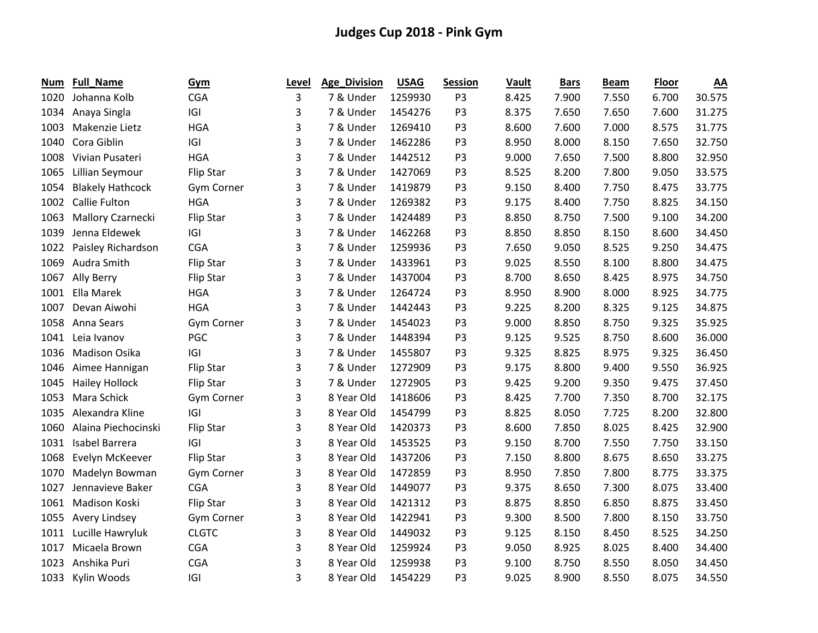| Num  | <b>Full_Name</b>        | <b>Gym</b>        | Level | <b>Age_Division</b> | <b>USAG</b> | <b>Session</b> | Vault | <b>Bars</b> | <b>Beam</b> | <b>Floor</b> | <u>AA</u> |
|------|-------------------------|-------------------|-------|---------------------|-------------|----------------|-------|-------------|-------------|--------------|-----------|
| 1020 | Johanna Kolb            | <b>CGA</b>        | 3     | 7 & Under           | 1259930     | P <sub>3</sub> | 8.425 | 7.900       | 7.550       | 6.700        | 30.575    |
| 1034 | Anaya Singla            | G                 | 3     | 7 & Under           | 1454276     | P <sub>3</sub> | 8.375 | 7.650       | 7.650       | 7.600        | 31.275    |
| 1003 | Makenzie Lietz          | <b>HGA</b>        | 3     | 7 & Under           | 1269410     | P <sub>3</sub> | 8.600 | 7.600       | 7.000       | 8.575        | 31.775    |
| 1040 | Cora Giblin             | IGI               | 3     | 7 & Under           | 1462286     | P <sub>3</sub> | 8.950 | 8.000       | 8.150       | 7.650        | 32.750    |
| 1008 | Vivian Pusateri         | <b>HGA</b>        | 3     | 7 & Under           | 1442512     | P <sub>3</sub> | 9.000 | 7.650       | 7.500       | 8.800        | 32.950    |
| 1065 | Lillian Seymour         | Flip Star         | 3     | 7 & Under           | 1427069     | P <sub>3</sub> | 8.525 | 8.200       | 7.800       | 9.050        | 33.575    |
| 1054 | <b>Blakely Hathcock</b> | <b>Gym Corner</b> | 3     | 7 & Under           | 1419879     | P <sub>3</sub> | 9.150 | 8.400       | 7.750       | 8.475        | 33.775    |
| 1002 | Callie Fulton           | <b>HGA</b>        | 3     | 7 & Under           | 1269382     | P <sub>3</sub> | 9.175 | 8.400       | 7.750       | 8.825        | 34.150    |
| 1063 | Mallory Czarnecki       | <b>Flip Star</b>  | 3     | 7 & Under           | 1424489     | P <sub>3</sub> | 8.850 | 8.750       | 7.500       | 9.100        | 34.200    |
| 1039 | Jenna Eldewek           | IGI               | 3     | 7 & Under           | 1462268     | P <sub>3</sub> | 8.850 | 8.850       | 8.150       | 8.600        | 34.450    |
| 1022 | Paisley Richardson      | <b>CGA</b>        | 3     | 7 & Under           | 1259936     | P <sub>3</sub> | 7.650 | 9.050       | 8.525       | 9.250        | 34.475    |
| 1069 | Audra Smith             | Flip Star         | 3     | 7 & Under           | 1433961     | P <sub>3</sub> | 9.025 | 8.550       | 8.100       | 8.800        | 34.475    |
| 1067 | Ally Berry              | Flip Star         | 3     | 7 & Under           | 1437004     | P <sub>3</sub> | 8.700 | 8.650       | 8.425       | 8.975        | 34.750    |
| 1001 | Ella Marek              | <b>HGA</b>        | 3     | 7 & Under           | 1264724     | P <sub>3</sub> | 8.950 | 8.900       | 8.000       | 8.925        | 34.775    |
| 1007 | Devan Aiwohi            | <b>HGA</b>        | 3     | 7 & Under           | 1442443     | P3             | 9.225 | 8.200       | 8.325       | 9.125        | 34.875    |
| 1058 | Anna Sears              | <b>Gym Corner</b> | 3     | 7 & Under           | 1454023     | P <sub>3</sub> | 9.000 | 8.850       | 8.750       | 9.325        | 35.925    |
| 1041 | Leia Ivanov             | PGC               | 3     | 7 & Under           | 1448394     | P <sub>3</sub> | 9.125 | 9.525       | 8.750       | 8.600        | 36.000    |
| 1036 | Madison Osika           | IGI               | 3     | 7 & Under           | 1455807     | P <sub>3</sub> | 9.325 | 8.825       | 8.975       | 9.325        | 36.450    |
| 1046 | Aimee Hannigan          | Flip Star         | 3     | 7 & Under           | 1272909     | P <sub>3</sub> | 9.175 | 8.800       | 9.400       | 9.550        | 36.925    |
| 1045 | <b>Hailey Hollock</b>   | Flip Star         | 3     | 7 & Under           | 1272905     | P <sub>3</sub> | 9.425 | 9.200       | 9.350       | 9.475        | 37.450    |
| 1053 | Mara Schick             | <b>Gym Corner</b> | 3     | 8 Year Old          | 1418606     | P3             | 8.425 | 7.700       | 7.350       | 8.700        | 32.175    |
| 1035 | Alexandra Kline         | IGI               | 3     | 8 Year Old          | 1454799     | P <sub>3</sub> | 8.825 | 8.050       | 7.725       | 8.200        | 32.800    |
| 1060 | Alaina Piechocinski     | Flip Star         | 3     | 8 Year Old          | 1420373     | P <sub>3</sub> | 8.600 | 7.850       | 8.025       | 8.425        | 32.900    |
| 1031 | Isabel Barrera          | IGI               | 3     | 8 Year Old          | 1453525     | P <sub>3</sub> | 9.150 | 8.700       | 7.550       | 7.750        | 33.150    |
| 1068 | Evelyn McKeever         | Flip Star         | 3     | 8 Year Old          | 1437206     | P <sub>3</sub> | 7.150 | 8.800       | 8.675       | 8.650        | 33.275    |
| 1070 | Madelyn Bowman          | Gym Corner        | 3     | 8 Year Old          | 1472859     | P <sub>3</sub> | 8.950 | 7.850       | 7.800       | 8.775        | 33.375    |
| 1027 | Jennavieve Baker        | <b>CGA</b>        | 3     | 8 Year Old          | 1449077     | P <sub>3</sub> | 9.375 | 8.650       | 7.300       | 8.075        | 33.400    |
| 1061 | Madison Koski           | Flip Star         | 3     | 8 Year Old          | 1421312     | P <sub>3</sub> | 8.875 | 8.850       | 6.850       | 8.875        | 33.450    |
| 1055 | Avery Lindsey           | Gym Corner        | 3     | 8 Year Old          | 1422941     | P <sub>3</sub> | 9.300 | 8.500       | 7.800       | 8.150        | 33.750    |
| 1011 | Lucille Hawryluk        | <b>CLGTC</b>      | 3     | 8 Year Old          | 1449032     | P <sub>3</sub> | 9.125 | 8.150       | 8.450       | 8.525        | 34.250    |
| 1017 | Micaela Brown           | <b>CGA</b>        | 3     | 8 Year Old          | 1259924     | P <sub>3</sub> | 9.050 | 8.925       | 8.025       | 8.400        | 34.400    |
| 1023 | Anshika Puri            | <b>CGA</b>        | 3     | 8 Year Old          | 1259938     | P <sub>3</sub> | 9.100 | 8.750       | 8.550       | 8.050        | 34.450    |
| 1033 | Kylin Woods             | G                 | 3     | 8 Year Old          | 1454229     | P <sub>3</sub> | 9.025 | 8.900       | 8.550       | 8.075        | 34.550    |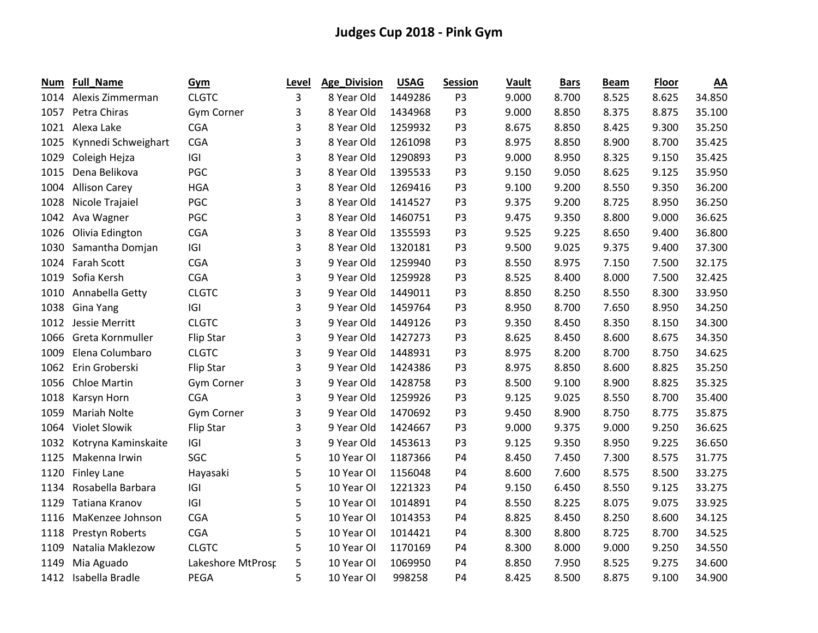| Num  | <b>Full_Name</b>     | Gym               | Level | Age_Division | <b>USAG</b> | <b>Session</b> | Vault | <b>Bars</b> | <b>Beam</b> | <b>Floor</b> | <u>AA</u> |
|------|----------------------|-------------------|-------|--------------|-------------|----------------|-------|-------------|-------------|--------------|-----------|
| 1014 | Alexis Zimmerman     | <b>CLGTC</b>      | 3     | 8 Year Old   | 1449286     | P <sub>3</sub> | 9.000 | 8.700       | 8.525       | 8.625        | 34.850    |
| 1057 | Petra Chiras         | <b>Gym Corner</b> | 3     | 8 Year Old   | 1434968     | P <sub>3</sub> | 9.000 | 8.850       | 8.375       | 8.875        | 35.100    |
| 1021 | Alexa Lake           | <b>CGA</b>        | 3     | 8 Year Old   | 1259932     | P <sub>3</sub> | 8.675 | 8.850       | 8.425       | 9.300        | 35.250    |
| 1025 | Kynnedi Schweighart  | <b>CGA</b>        | 3     | 8 Year Old   | 1261098     | P <sub>3</sub> | 8.975 | 8.850       | 8.900       | 8.700        | 35.425    |
| 1029 | Coleigh Hejza        | IGI               | 3     | 8 Year Old   | 1290893     | P <sub>3</sub> | 9.000 | 8.950       | 8.325       | 9.150        | 35.425    |
| 1015 | Dena Belikova        | <b>PGC</b>        | 3     | 8 Year Old   | 1395533     | P <sub>3</sub> | 9.150 | 9.050       | 8.625       | 9.125        | 35.950    |
| 1004 | <b>Allison Carey</b> | <b>HGA</b>        | 3     | 8 Year Old   | 1269416     | P <sub>3</sub> | 9.100 | 9.200       | 8.550       | 9.350        | 36.200    |
| 1028 | Nicole Trajaiel      | PGC               | 3     | 8 Year Old   | 1414527     | P <sub>3</sub> | 9.375 | 9.200       | 8.725       | 8.950        | 36.250    |
| 1042 | Ava Wagner           | PGC               | 3     | 8 Year Old   | 1460751     | P <sub>3</sub> | 9.475 | 9.350       | 8.800       | 9.000        | 36.625    |
| 1026 | Olivia Edington      | <b>CGA</b>        | 3     | 8 Year Old   | 1355593     | P <sub>3</sub> | 9.525 | 9.225       | 8.650       | 9.400        | 36.800    |
| 1030 | Samantha Domjan      | IGI               | 3     | 8 Year Old   | 1320181     | P <sub>3</sub> | 9.500 | 9.025       | 9.375       | 9.400        | 37.300    |
| 1024 | Farah Scott          | <b>CGA</b>        | 3     | 9 Year Old   | 1259940     | P <sub>3</sub> | 8.550 | 8.975       | 7.150       | 7.500        | 32.175    |
| 1019 | Sofia Kersh          | <b>CGA</b>        | 3     | 9 Year Old   | 1259928     | P <sub>3</sub> | 8.525 | 8.400       | 8.000       | 7.500        | 32.425    |
| 1010 | Annabella Getty      | <b>CLGTC</b>      | 3     | 9 Year Old   | 1449011     | P <sub>3</sub> | 8.850 | 8.250       | 8.550       | 8.300        | 33.950    |
| 1038 | Gina Yang            | IGI               | 3     | 9 Year Old   | 1459764     | P <sub>3</sub> | 8.950 | 8.700       | 7.650       | 8.950        | 34.250    |
| 1012 | Jessie Merritt       | <b>CLGTC</b>      | 3     | 9 Year Old   | 1449126     | P <sub>3</sub> | 9.350 | 8.450       | 8.350       | 8.150        | 34.300    |
| 1066 | Greta Kornmuller     | Flip Star         | 3     | 9 Year Old   | 1427273     | P <sub>3</sub> | 8.625 | 8.450       | 8.600       | 8.675        | 34.350    |
| 1009 | Elena Columbaro      | <b>CLGTC</b>      | 3     | 9 Year Old   | 1448931     | P <sub>3</sub> | 8.975 | 8.200       | 8.700       | 8.750        | 34.625    |
| 1062 | Erin Groberski       | Flip Star         | 3     | 9 Year Old   | 1424386     | P <sub>3</sub> | 8.975 | 8.850       | 8.600       | 8.825        | 35.250    |
| 1056 | Chloe Martin         | Gym Corner        | 3     | 9 Year Old   | 1428758     | P <sub>3</sub> | 8.500 | 9.100       | 8.900       | 8.825        | 35.325    |
| 1018 | Karsyn Horn          | <b>CGA</b>        | 3     | 9 Year Old   | 1259926     | P <sub>3</sub> | 9.125 | 9.025       | 8.550       | 8.700        | 35.400    |
| 1059 | <b>Mariah Nolte</b>  | Gym Corner        | 3     | 9 Year Old   | 1470692     | P <sub>3</sub> | 9.450 | 8.900       | 8.750       | 8.775        | 35.875    |
| 1064 | Violet Slowik        | Flip Star         | 3     | 9 Year Old   | 1424667     | P <sub>3</sub> | 9.000 | 9.375       | 9.000       | 9.250        | 36.625    |
| 1032 | Kotryna Kaminskaite  | IGI               | 3     | 9 Year Old   | 1453613     | P <sub>3</sub> | 9.125 | 9.350       | 8.950       | 9.225        | 36.650    |
| 1125 | Makenna Irwin        | SGC               | 5     | 10 Year Ol   | 1187366     | P4             | 8.450 | 7.450       | 7.300       | 8.575        | 31.775    |
| 1120 | <b>Finley Lane</b>   | Hayasaki          | 5     | 10 Year Ol   | 1156048     | P4             | 8.600 | 7.600       | 8.575       | 8.500        | 33.275    |
| 1134 | Rosabella Barbara    | IGI               | 5     | 10 Year Ol   | 1221323     | P4             | 9.150 | 6.450       | 8.550       | 9.125        | 33.275    |
| 1129 | Tatiana Kranov       | IGI               | 5     | 10 Year Ol   | 1014891     | P4             | 8.550 | 8.225       | 8.075       | 9.075        | 33.925    |
| 1116 | MaKenzee Johnson     | <b>CGA</b>        | 5     | 10 Year Ol   | 1014353     | <b>P4</b>      | 8.825 | 8.450       | 8.250       | 8.600        | 34.125    |
| 1118 | Prestyn Roberts      | <b>CGA</b>        | 5     | 10 Year Ol   | 1014421     | P4             | 8.300 | 8.800       | 8.725       | 8.700        | 34.525    |
| 1109 | Natalia Maklezow     | <b>CLGTC</b>      | 5     | 10 Year Ol   | 1170169     | P4             | 8.300 | 8.000       | 9.000       | 9.250        | 34.550    |
| 1149 | Mia Aguado           | Lakeshore MtProsp | 5     | 10 Year Ol   | 1069950     | P4             | 8.850 | 7.950       | 8.525       | 9.275        | 34.600    |
| 1412 | Isabella Bradle      | PEGA              | 5     | 10 Year Ol   | 998258      | P <sub>4</sub> | 8.425 | 8.500       | 8.875       | 9.100        | 34.900    |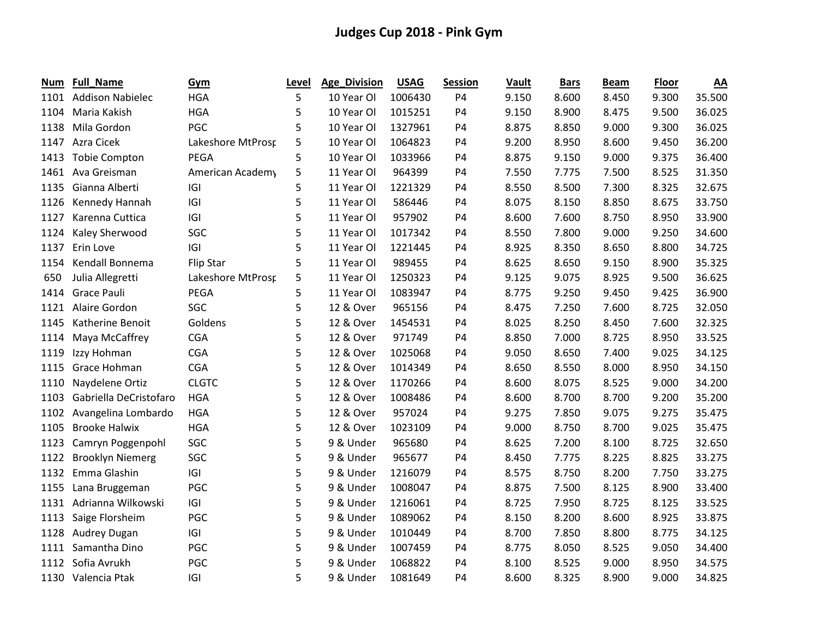| Num  | Full_Name               | Gym               | Level | Age_Division | <b>USAG</b> | <b>Session</b> | Vault | <b>Bars</b> | <b>Beam</b> | <b>Floor</b> | <u>AA</u> |
|------|-------------------------|-------------------|-------|--------------|-------------|----------------|-------|-------------|-------------|--------------|-----------|
| 1101 | <b>Addison Nabielec</b> | <b>HGA</b>        | 5     | 10 Year Ol   | 1006430     | P4             | 9.150 | 8.600       | 8.450       | 9.300        | 35.500    |
| 1104 | Maria Kakish            | <b>HGA</b>        | 5     | 10 Year Ol   | 1015251     | <b>P4</b>      | 9.150 | 8.900       | 8.475       | 9.500        | 36.025    |
| 1138 | Mila Gordon             | PGC               | 5     | 10 Year Ol   | 1327961     | P4             | 8.875 | 8.850       | 9.000       | 9.300        | 36.025    |
| 1147 | Azra Cicek              | Lakeshore MtProsp | 5     | 10 Year Ol   | 1064823     | P4             | 9.200 | 8.950       | 8.600       | 9.450        | 36.200    |
| 1413 | <b>Tobie Compton</b>    | <b>PEGA</b>       | 5     | 10 Year Ol   | 1033966     | P4             | 8.875 | 9.150       | 9.000       | 9.375        | 36.400    |
| 1461 | Ava Greisman            | American Academy  | 5     | 11 Year Ol   | 964399      | P4             | 7.550 | 7.775       | 7.500       | 8.525        | 31.350    |
| 1135 | Gianna Alberti          | IGI               | 5     | 11 Year Ol   | 1221329     | P4             | 8.550 | 8.500       | 7.300       | 8.325        | 32.675    |
| 1126 | Kennedy Hannah          | IGI               | 5     | 11 Year Ol   | 586446      | P4             | 8.075 | 8.150       | 8.850       | 8.675        | 33.750    |
| 1127 | Karenna Cuttica         | IGI               | 5     | 11 Year Ol   | 957902      | P4             | 8.600 | 7.600       | 8.750       | 8.950        | 33.900    |
| 1124 | Kaley Sherwood          | SGC               | 5     | 11 Year Ol   | 1017342     | <b>P4</b>      | 8.550 | 7.800       | 9.000       | 9.250        | 34.600    |
| 1137 | Erin Love               | IGI               | 5     | 11 Year Ol   | 1221445     | P4             | 8.925 | 8.350       | 8.650       | 8.800        | 34.725    |
| 1154 | Kendall Bonnema         | Flip Star         | 5     | 11 Year Ol   | 989455      | <b>P4</b>      | 8.625 | 8.650       | 9.150       | 8.900        | 35.325    |
| 650  | Julia Allegretti        | Lakeshore MtProsp | 5     | 11 Year Ol   | 1250323     | P4             | 9.125 | 9.075       | 8.925       | 9.500        | 36.625    |
| 1414 | <b>Grace Pauli</b>      | <b>PEGA</b>       | 5     | 11 Year Ol   | 1083947     | P4             | 8.775 | 9.250       | 9.450       | 9.425        | 36.900    |
| 1121 | Alaire Gordon           | SGC               | 5     | 12 & Over    | 965156      | <b>P4</b>      | 8.475 | 7.250       | 7.600       | 8.725        | 32.050    |
| 1145 | Katherine Benoit        | Goldens           | 5     | 12 & Over    | 1454531     | P4             | 8.025 | 8.250       | 8.450       | 7.600        | 32.325    |
| 1114 | Maya McCaffrey          | <b>CGA</b>        | 5     | 12 & Over    | 971749      | <b>P4</b>      | 8.850 | 7.000       | 8.725       | 8.950        | 33.525    |
| 1119 | Izzy Hohman             | <b>CGA</b>        | 5     | 12 & Over    | 1025068     | P4             | 9.050 | 8.650       | 7.400       | 9.025        | 34.125    |
| 1115 | Grace Hohman            | <b>CGA</b>        | 5     | 12 & Over    | 1014349     | P4             | 8.650 | 8.550       | 8.000       | 8.950        | 34.150    |
| 1110 | Naydelene Ortiz         | <b>CLGTC</b>      | 5     | 12 & Over    | 1170266     | P4             | 8.600 | 8.075       | 8.525       | 9.000        | 34.200    |
| 1103 | Gabriella DeCristofaro  | <b>HGA</b>        | 5     | 12 & Over    | 1008486     | P4             | 8.600 | 8.700       | 8.700       | 9.200        | 35.200    |
| 1102 | Avangelina Lombardo     | <b>HGA</b>        | 5     | 12 & Over    | 957024      | P4             | 9.275 | 7.850       | 9.075       | 9.275        | 35.475    |
| 1105 | <b>Brooke Halwix</b>    | <b>HGA</b>        | 5     | 12 & Over    | 1023109     | P4             | 9.000 | 8.750       | 8.700       | 9.025        | 35.475    |
| 1123 | Camryn Poggenpohl       | SGC               | 5     | 9 & Under    | 965680      | P4             | 8.625 | 7.200       | 8.100       | 8.725        | 32.650    |
| 1122 | <b>Brooklyn Niemerg</b> | SGC               | 5     | 9 & Under    | 965677      | P4             | 8.450 | 7.775       | 8.225       | 8.825        | 33.275    |
| 1132 | Emma Glashin            | IGI               | 5     | 9 & Under    | 1216079     | P4             | 8.575 | 8.750       | 8.200       | 7.750        | 33.275    |
| 1155 | Lana Bruggeman          | PGC               | 5     | 9 & Under    | 1008047     | P4             | 8.875 | 7.500       | 8.125       | 8.900        | 33.400    |
| 1131 | Adrianna Wilkowski      | IGI               | 5     | 9 & Under    | 1216061     | P4             | 8.725 | 7.950       | 8.725       | 8.125        | 33.525    |
| 1113 | Saige Florsheim         | PGC               | 5     | 9 & Under    | 1089062     | P4             | 8.150 | 8.200       | 8.600       | 8.925        | 33.875    |
| 1128 | Audrey Dugan            | IGI               | 5     | 9 & Under    | 1010449     | P4             | 8.700 | 7.850       | 8.800       | 8.775        | 34.125    |
| 1111 | Samantha Dino           | PGC               | 5     | 9 & Under    | 1007459     | P4             | 8.775 | 8.050       | 8.525       | 9.050        | 34.400    |
| 1112 | Sofia Avrukh            | PGC               | 5     | 9 & Under    | 1068822     | P4             | 8.100 | 8.525       | 9.000       | 8.950        | 34.575    |
| 1130 | Valencia Ptak           | IGI               | 5     | 9 & Under    | 1081649     | P <sub>4</sub> | 8.600 | 8.325       | 8.900       | 9.000        | 34.825    |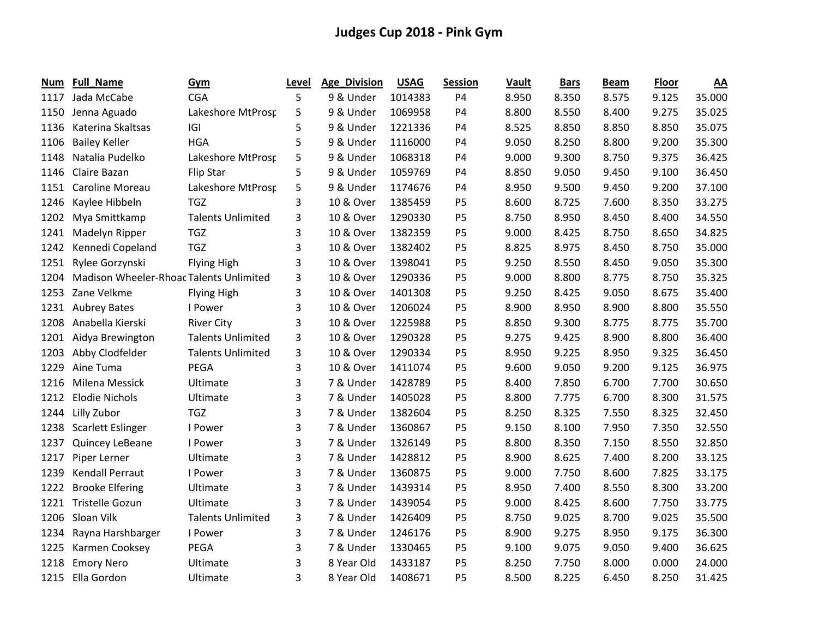| Num  | Full_Name                               | Gym                      | Level | <b>Age_Division</b> | <b>USAG</b> | <b>Session</b> | Vault | <b>Bars</b> | <b>Beam</b> | Floor | <u>AA</u> |
|------|-----------------------------------------|--------------------------|-------|---------------------|-------------|----------------|-------|-------------|-------------|-------|-----------|
| 1117 | Jada McCabe                             | <b>CGA</b>               | 5     | 9 & Under           | 1014383     | P4             | 8.950 | 8.350       | 8.575       | 9.125 | 35.000    |
| 1150 | Jenna Aguado                            | Lakeshore MtProsr        | 5     | 9 & Under           | 1069958     | <b>P4</b>      | 8.800 | 8.550       | 8.400       | 9.275 | 35.025    |
| 1136 | Katerina Skaltsas                       | IGI                      | 5     | 9 & Under           | 1221336     | <b>P4</b>      | 8.525 | 8.850       | 8.850       | 8.850 | 35.075    |
| 1106 | <b>Bailey Keller</b>                    | <b>HGA</b>               | 5     | 9 & Under           | 1116000     | P4             | 9.050 | 8.250       | 8.800       | 9.200 | 35.300    |
| 1148 | Natalia Pudelko                         | Lakeshore MtProsp        | 5     | 9 & Under           | 1068318     | P4             | 9.000 | 9.300       | 8.750       | 9.375 | 36.425    |
| 1146 | Claire Bazan                            | <b>Flip Star</b>         | 5     | 9 & Under           | 1059769     | P4             | 8.850 | 9.050       | 9.450       | 9.100 | 36.450    |
| 1151 | Caroline Moreau                         | Lakeshore MtProsr        | 5     | 9 & Under           | 1174676     | P4             | 8.950 | 9.500       | 9.450       | 9.200 | 37.100    |
| 1246 | Kaylee Hibbeln                          | <b>TGZ</b>               | 3     | 10 & Over           | 1385459     | <b>P5</b>      | 8.600 | 8.725       | 7.600       | 8.350 | 33.275    |
| 1202 | Mya Smittkamp                           | <b>Talents Unlimited</b> | 3     | 10 & Over           | 1290330     | P <sub>5</sub> | 8.750 | 8.950       | 8.450       | 8.400 | 34.550    |
| 1241 | Madelyn Ripper                          | <b>TGZ</b>               | 3     | 10 & Over           | 1382359     | <b>P5</b>      | 9.000 | 8.425       | 8.750       | 8.650 | 34.825    |
| 1242 | Kennedi Copeland                        | <b>TGZ</b>               | 3     | 10 & Over           | 1382402     | P <sub>5</sub> | 8.825 | 8.975       | 8.450       | 8.750 | 35.000    |
| 1251 | Rylee Gorzynski                         | <b>Flying High</b>       | 3     | 10 & Over           | 1398041     | P <sub>5</sub> | 9.250 | 8.550       | 8.450       | 9.050 | 35.300    |
| 1204 | Madison Wheeler-Rhoac Talents Unlimited |                          | 3     | 10 & Over           | 1290336     | P <sub>5</sub> | 9.000 | 8.800       | 8.775       | 8.750 | 35.325    |
| 1253 | Zane Velkme                             | <b>Flying High</b>       | 3     | 10 & Over           | 1401308     | P <sub>5</sub> | 9.250 | 8.425       | 9.050       | 8.675 | 35.400    |
| 1231 | <b>Aubrey Bates</b>                     | I Power                  | 3     | 10 & Over           | 1206024     | <b>P5</b>      | 8.900 | 8.950       | 8.900       | 8.800 | 35.550    |
| 1208 | Anabella Kierski                        | <b>River City</b>        | 3     | 10 & Over           | 1225988     | <b>P5</b>      | 8.850 | 9.300       | 8.775       | 8.775 | 35.700    |
| 1201 | Aidya Brewington                        | <b>Talents Unlimited</b> | 3     | 10 & Over           | 1290328     | P <sub>5</sub> | 9.275 | 9.425       | 8.900       | 8.800 | 36.400    |
| 1203 | Abby Clodfelder                         | <b>Talents Unlimited</b> | 3     | 10 & Over           | 1290334     | P <sub>5</sub> | 8.950 | 9.225       | 8.950       | 9.325 | 36.450    |
| 1229 | Aine Tuma                               | <b>PEGA</b>              | 3     | 10 & Over           | 1411074     | P <sub>5</sub> | 9.600 | 9.050       | 9.200       | 9.125 | 36.975    |
| 1216 | Milena Messick                          | Ultimate                 | 3     | 7 & Under           | 1428789     | <b>P5</b>      | 8.400 | 7.850       | 6.700       | 7.700 | 30.650    |
| 1212 | <b>Elodie Nichols</b>                   | Ultimate                 | 3     | 7 & Under           | 1405028     | <b>P5</b>      | 8.800 | 7.775       | 6.700       | 8.300 | 31.575    |
| 1244 | Lilly Zubor                             | <b>TGZ</b>               | 3     | 7 & Under           | 1382604     | P <sub>5</sub> | 8.250 | 8.325       | 7.550       | 8.325 | 32.450    |
| 1238 | Scarlett Eslinger                       | I Power                  | 3     | 7 & Under           | 1360867     | P <sub>5</sub> | 9.150 | 8.100       | 7.950       | 7.350 | 32.550    |
| 1237 | Quincey LeBeane                         | I Power                  | 3     | 7 & Under           | 1326149     | P <sub>5</sub> | 8.800 | 8.350       | 7.150       | 8.550 | 32.850    |
| 1217 | Piper Lerner                            | Ultimate                 | 3     | 7 & Under           | 1428812     | P <sub>5</sub> | 8.900 | 8.625       | 7.400       | 8.200 | 33.125    |
| 1239 | <b>Kendall Perraut</b>                  | I Power                  | 3     | 7 & Under           | 1360875     | <b>P5</b>      | 9.000 | 7.750       | 8.600       | 7.825 | 33.175    |
| 1222 | <b>Brooke Elfering</b>                  | Ultimate                 | 3     | 7 & Under           | 1439314     | P <sub>5</sub> | 8.950 | 7.400       | 8.550       | 8.300 | 33.200    |
| 1221 | Tristelle Gozun                         | Ultimate                 | 3     | 7 & Under           | 1439054     | P <sub>5</sub> | 9.000 | 8.425       | 8.600       | 7.750 | 33.775    |
| 1206 | Sloan Vilk                              | <b>Talents Unlimited</b> | 3     | 7 & Under           | 1426409     | <b>P5</b>      | 8.750 | 9.025       | 8.700       | 9.025 | 35.500    |
| 1234 | Rayna Harshbarger                       | I Power                  | 3     | 7 & Under           | 1246176     | P <sub>5</sub> | 8.900 | 9.275       | 8.950       | 9.175 | 36.300    |
| 1225 | Karmen Cooksey                          | PEGA                     | 3     | 7 & Under           | 1330465     | P <sub>5</sub> | 9.100 | 9.075       | 9.050       | 9.400 | 36.625    |
| 1218 | <b>Emory Nero</b>                       | Ultimate                 | 3     | 8 Year Old          | 1433187     | P <sub>5</sub> | 8.250 | 7.750       | 8.000       | 0.000 | 24.000    |
| 1215 | Ella Gordon                             | Ultimate                 | 3     | 8 Year Old          | 1408671     | P <sub>5</sub> | 8.500 | 8.225       | 6.450       | 8.250 | 31.425    |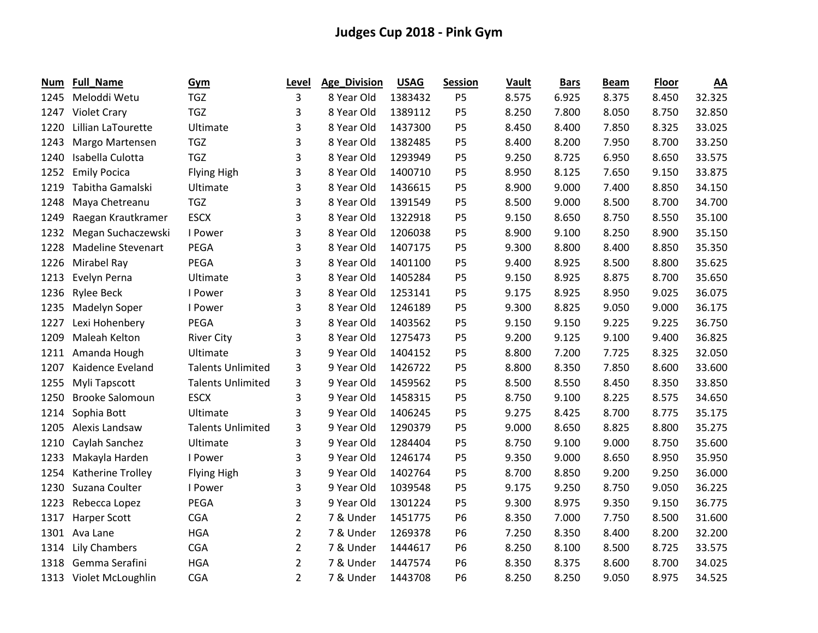| Num  | Full_Name                 | <b>Gym</b>               | Level          | Age_Division | <b>USAG</b> | <b>Session</b> | Vault | <b>Bars</b> | <b>Beam</b> | <b>Floor</b> | <u>AA</u> |
|------|---------------------------|--------------------------|----------------|--------------|-------------|----------------|-------|-------------|-------------|--------------|-----------|
| 1245 | Meloddi Wetu              | <b>TGZ</b>               | 3              | 8 Year Old   | 1383432     | P <sub>5</sub> | 8.575 | 6.925       | 8.375       | 8.450        | 32.325    |
| 1247 | <b>Violet Crary</b>       | <b>TGZ</b>               | 3              | 8 Year Old   | 1389112     | <b>P5</b>      | 8.250 | 7.800       | 8.050       | 8.750        | 32.850    |
| 1220 | Lillian LaTourette        | Ultimate                 | 3              | 8 Year Old   | 1437300     | P <sub>5</sub> | 8.450 | 8.400       | 7.850       | 8.325        | 33.025    |
| 1243 | Margo Martensen           | <b>TGZ</b>               | 3              | 8 Year Old   | 1382485     | P <sub>5</sub> | 8.400 | 8.200       | 7.950       | 8.700        | 33.250    |
| 1240 | Isabella Culotta          | <b>TGZ</b>               | 3              | 8 Year Old   | 1293949     | P <sub>5</sub> | 9.250 | 8.725       | 6.950       | 8.650        | 33.575    |
| 1252 | <b>Emily Pocica</b>       | <b>Flying High</b>       | 3              | 8 Year Old   | 1400710     | P <sub>5</sub> | 8.950 | 8.125       | 7.650       | 9.150        | 33.875    |
| 1219 | Tabitha Gamalski          | Ultimate                 | 3              | 8 Year Old   | 1436615     | <b>P5</b>      | 8.900 | 9.000       | 7.400       | 8.850        | 34.150    |
| 1248 | Maya Chetreanu            | <b>TGZ</b>               | 3              | 8 Year Old   | 1391549     | P <sub>5</sub> | 8.500 | 9.000       | 8.500       | 8.700        | 34.700    |
| 1249 | Raegan Krautkramer        | <b>ESCX</b>              | 3              | 8 Year Old   | 1322918     | <b>P5</b>      | 9.150 | 8.650       | 8.750       | 8.550        | 35.100    |
| 1232 | Megan Suchaczewski        | I Power                  | 3              | 8 Year Old   | 1206038     | P <sub>5</sub> | 8.900 | 9.100       | 8.250       | 8.900        | 35.150    |
| 1228 | <b>Madeline Stevenart</b> | PEGA                     | 3              | 8 Year Old   | 1407175     | P <sub>5</sub> | 9.300 | 8.800       | 8.400       | 8.850        | 35.350    |
| 1226 | Mirabel Ray               | PEGA                     | 3              | 8 Year Old   | 1401100     | P <sub>5</sub> | 9.400 | 8.925       | 8.500       | 8.800        | 35.625    |
| 1213 | Evelyn Perna              | Ultimate                 | 3              | 8 Year Old   | 1405284     | P <sub>5</sub> | 9.150 | 8.925       | 8.875       | 8.700        | 35.650    |
| 1236 | <b>Rylee Beck</b>         | I Power                  | 3              | 8 Year Old   | 1253141     | P <sub>5</sub> | 9.175 | 8.925       | 8.950       | 9.025        | 36.075    |
| 1235 | Madelyn Soper             | I Power                  | 3              | 8 Year Old   | 1246189     | <b>P5</b>      | 9.300 | 8.825       | 9.050       | 9.000        | 36.175    |
| 1227 | Lexi Hohenbery            | PEGA                     | 3              | 8 Year Old   | 1403562     | <b>P5</b>      | 9.150 | 9.150       | 9.225       | 9.225        | 36.750    |
| 1209 | Maleah Kelton             | <b>River City</b>        | 3              | 8 Year Old   | 1275473     | P <sub>5</sub> | 9.200 | 9.125       | 9.100       | 9.400        | 36.825    |
| 1211 | Amanda Hough              | Ultimate                 | 3              | 9 Year Old   | 1404152     | P <sub>5</sub> | 8.800 | 7.200       | 7.725       | 8.325        | 32.050    |
| 1207 | Kaidence Eveland          | <b>Talents Unlimited</b> | 3              | 9 Year Old   | 1426722     | P <sub>5</sub> | 8.800 | 8.350       | 7.850       | 8.600        | 33.600    |
| 1255 | Myli Tapscott             | <b>Talents Unlimited</b> | 3              | 9 Year Old   | 1459562     | <b>P5</b>      | 8.500 | 8.550       | 8.450       | 8.350        | 33.850    |
| 1250 | <b>Brooke Salomoun</b>    | <b>ESCX</b>              | 3              | 9 Year Old   | 1458315     | P <sub>5</sub> | 8.750 | 9.100       | 8.225       | 8.575        | 34.650    |
| 1214 | Sophia Bott               | Ultimate                 | 3              | 9 Year Old   | 1406245     | P <sub>5</sub> | 9.275 | 8.425       | 8.700       | 8.775        | 35.175    |
| 1205 | Alexis Landsaw            | <b>Talents Unlimited</b> | 3              | 9 Year Old   | 1290379     | P <sub>5</sub> | 9.000 | 8.650       | 8.825       | 8.800        | 35.275    |
| 1210 | Caylah Sanchez            | Ultimate                 | 3              | 9 Year Old   | 1284404     | P <sub>5</sub> | 8.750 | 9.100       | 9.000       | 8.750        | 35.600    |
| 1233 | Makayla Harden            | I Power                  | 3              | 9 Year Old   | 1246174     | P <sub>5</sub> | 9.350 | 9.000       | 8.650       | 8.950        | 35.950    |
| 1254 | Katherine Trolley         | <b>Flying High</b>       | 3              | 9 Year Old   | 1402764     | P <sub>5</sub> | 8.700 | 8.850       | 9.200       | 9.250        | 36.000    |
| 1230 | Suzana Coulter            | I Power                  | 3              | 9 Year Old   | 1039548     | <b>P5</b>      | 9.175 | 9.250       | 8.750       | 9.050        | 36.225    |
| 1223 | Rebecca Lopez             | PEGA                     | 3              | 9 Year Old   | 1301224     | P <sub>5</sub> | 9.300 | 8.975       | 9.350       | 9.150        | 36.775    |
| 1317 | <b>Harper Scott</b>       | <b>CGA</b>               | $\overline{2}$ | 7 & Under    | 1451775     | P <sub>6</sub> | 8.350 | 7.000       | 7.750       | 8.500        | 31.600    |
| 1301 | Ava Lane                  | <b>HGA</b>               | $\overline{2}$ | 7 & Under    | 1269378     | <b>P6</b>      | 7.250 | 8.350       | 8.400       | 8.200        | 32.200    |
| 1314 | <b>Lily Chambers</b>      | <b>CGA</b>               | $\overline{2}$ | 7 & Under    | 1444617     | P <sub>6</sub> | 8.250 | 8.100       | 8.500       | 8.725        | 33.575    |
| 1318 | Gemma Serafini            | <b>HGA</b>               | $\overline{2}$ | 7 & Under    | 1447574     | <b>P6</b>      | 8.350 | 8.375       | 8.600       | 8.700        | 34.025    |
|      | 1313 Violet McLoughlin    | <b>CGA</b>               | $\overline{2}$ | 7 & Under    | 1443708     | <b>P6</b>      | 8.250 | 8.250       | 9.050       | 8.975        | 34.525    |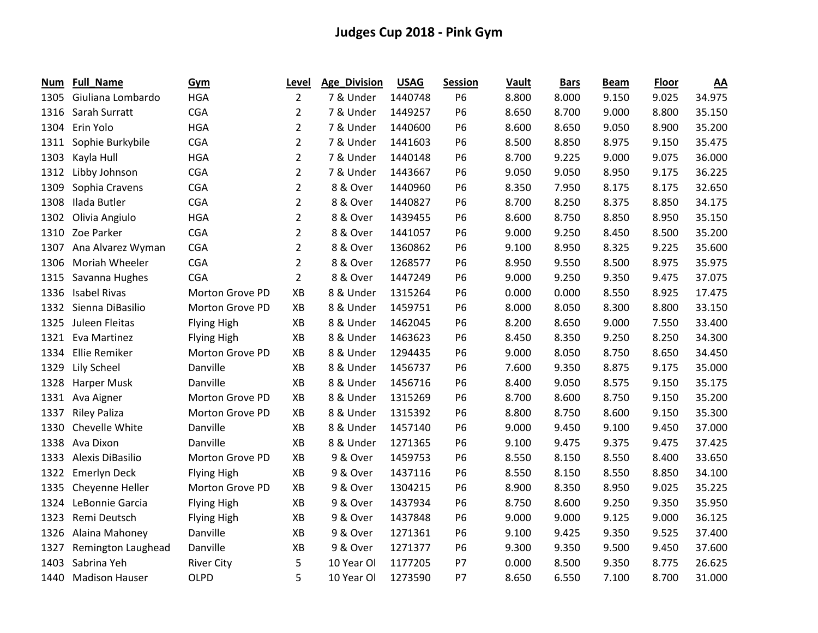| Num  | <b>Full_Name</b>      | Gym                | Level          | Age_Division | <b>USAG</b> | <b>Session</b> | Vault | <b>Bars</b> | <b>Beam</b> | <b>Floor</b> | $\underline{AA}$ |
|------|-----------------------|--------------------|----------------|--------------|-------------|----------------|-------|-------------|-------------|--------------|------------------|
| 1305 | Giuliana Lombardo     | <b>HGA</b>         | $\overline{2}$ | 7 & Under    | 1440748     | P <sub>6</sub> | 8.800 | 8.000       | 9.150       | 9.025        | 34.975           |
| 1316 | Sarah Surratt         | <b>CGA</b>         | $\overline{2}$ | 7 & Under    | 1449257     | <b>P6</b>      | 8.650 | 8.700       | 9.000       | 8.800        | 35.150           |
| 1304 | Erin Yolo             | <b>HGA</b>         | $\overline{2}$ | 7 & Under    | 1440600     | <b>P6</b>      | 8.600 | 8.650       | 9.050       | 8.900        | 35.200           |
| 1311 | Sophie Burkybile      | <b>CGA</b>         | $\overline{2}$ | 7 & Under    | 1441603     | <b>P6</b>      | 8.500 | 8.850       | 8.975       | 9.150        | 35.475           |
| 1303 | Kayla Hull            | <b>HGA</b>         | $\overline{2}$ | 7 & Under    | 1440148     | P <sub>6</sub> | 8.700 | 9.225       | 9.000       | 9.075        | 36.000           |
| 1312 | Libby Johnson         | <b>CGA</b>         | $\overline{2}$ | 7 & Under    | 1443667     | <b>P6</b>      | 9.050 | 9.050       | 8.950       | 9.175        | 36.225           |
| 1309 | Sophia Cravens        | <b>CGA</b>         | $\overline{2}$ | 8 & Over     | 1440960     | <b>P6</b>      | 8.350 | 7.950       | 8.175       | 8.175        | 32.650           |
| 1308 | Ilada Butler          | <b>CGA</b>         | $\overline{2}$ | 8 & Over     | 1440827     | <b>P6</b>      | 8.700 | 8.250       | 8.375       | 8.850        | 34.175           |
| 1302 | Olivia Angiulo        | <b>HGA</b>         | $\overline{2}$ | 8 & Over     | 1439455     | P <sub>6</sub> | 8.600 | 8.750       | 8.850       | 8.950        | 35.150           |
| 1310 | Zoe Parker            | <b>CGA</b>         | $\overline{2}$ | 8 & Over     | 1441057     | <b>P6</b>      | 9.000 | 9.250       | 8.450       | 8.500        | 35.200           |
| 1307 | Ana Alvarez Wyman     | CGA                | $\overline{2}$ | 8 & Over     | 1360862     | P6             | 9.100 | 8.950       | 8.325       | 9.225        | 35.600           |
| 1306 | Moriah Wheeler        | <b>CGA</b>         | $\overline{2}$ | 8 & Over     | 1268577     | P <sub>6</sub> | 8.950 | 9.550       | 8.500       | 8.975        | 35.975           |
| 1315 | Savanna Hughes        | <b>CGA</b>         | $\overline{2}$ | 8 & Over     | 1447249     | <b>P6</b>      | 9.000 | 9.250       | 9.350       | 9.475        | 37.075           |
| 1336 | <b>Isabel Rivas</b>   | Morton Grove PD    | XB             | 8 & Under    | 1315264     | <b>P6</b>      | 0.000 | 0.000       | 8.550       | 8.925        | 17.475           |
| 1332 | Sienna DiBasilio      | Morton Grove PD    | XB             | 8 & Under    | 1459751     | <b>P6</b>      | 8.000 | 8.050       | 8.300       | 8.800        | 33.150           |
| 1325 | Juleen Fleitas        | <b>Flying High</b> | XB             | 8 & Under    | 1462045     | <b>P6</b>      | 8.200 | 8.650       | 9.000       | 7.550        | 33.400           |
| 1321 | Eva Martinez          | <b>Flying High</b> | XB             | 8 & Under    | 1463623     | <b>P6</b>      | 8.450 | 8.350       | 9.250       | 8.250        | 34.300           |
| 1334 | Ellie Remiker         | Morton Grove PD    | XB             | 8 & Under    | 1294435     | P <sub>6</sub> | 9.000 | 8.050       | 8.750       | 8.650        | 34.450           |
| 1329 | Lily Scheel           | Danville           | XB             | 8 & Under    | 1456737     | <b>P6</b>      | 7.600 | 9.350       | 8.875       | 9.175        | 35.000           |
| 1328 | Harper Musk           | Danville           | XB             | 8 & Under    | 1456716     | P6             | 8.400 | 9.050       | 8.575       | 9.150        | 35.175           |
| 1331 | Ava Aigner            | Morton Grove PD    | XB             | 8 & Under    | 1315269     | P6             | 8.700 | 8.600       | 8.750       | 9.150        | 35.200           |
| 1337 | <b>Riley Paliza</b>   | Morton Grove PD    | XB             | 8 & Under    | 1315392     | P6             | 8.800 | 8.750       | 8.600       | 9.150        | 35.300           |
| 1330 | Chevelle White        | Danville           | XB             | 8 & Under    | 1457140     | <b>P6</b>      | 9.000 | 9.450       | 9.100       | 9.450        | 37.000           |
| 1338 | Ava Dixon             | Danville           | XB             | 8 & Under    | 1271365     | P <sub>6</sub> | 9.100 | 9.475       | 9.375       | 9.475        | 37.425           |
| 1333 | Alexis DiBasilio      | Morton Grove PD    | XB             | 9 & Over     | 1459753     | <b>P6</b>      | 8.550 | 8.150       | 8.550       | 8.400        | 33.650           |
| 1322 | <b>Emerlyn Deck</b>   | <b>Flying High</b> | XB             | 9 & Over     | 1437116     | P6             | 8.550 | 8.150       | 8.550       | 8.850        | 34.100           |
| 1335 | Cheyenne Heller       | Morton Grove PD    | XB             | 9 & Over     | 1304215     | P <sub>6</sub> | 8.900 | 8.350       | 8.950       | 9.025        | 35.225           |
| 1324 | LeBonnie Garcia       | Flying High        | XB             | 9 & Over     | 1437934     | <b>P6</b>      | 8.750 | 8.600       | 9.250       | 9.350        | 35.950           |
| 1323 | Remi Deutsch          | <b>Flying High</b> | XB             | 9 & Over     | 1437848     | P <sub>6</sub> | 9.000 | 9.000       | 9.125       | 9.000        | 36.125           |
| 1326 | Alaina Mahoney        | Danville           | XB             | 9 & Over     | 1271361     | <b>P6</b>      | 9.100 | 9.425       | 9.350       | 9.525        | 37.400           |
| 1327 | Remington Laughead    | Danville           | XB             | 9 & Over     | 1271377     | P <sub>6</sub> | 9.300 | 9.350       | 9.500       | 9.450        | 37.600           |
| 1403 | Sabrina Yeh           | <b>River City</b>  | 5              | 10 Year Ol   | 1177205     | <b>P7</b>      | 0.000 | 8.500       | 9.350       | 8.775        | 26.625           |
| 1440 | <b>Madison Hauser</b> | <b>OLPD</b>        | 5              | 10 Year Ol   | 1273590     | P7             | 8.650 | 6.550       | 7.100       | 8.700        | 31.000           |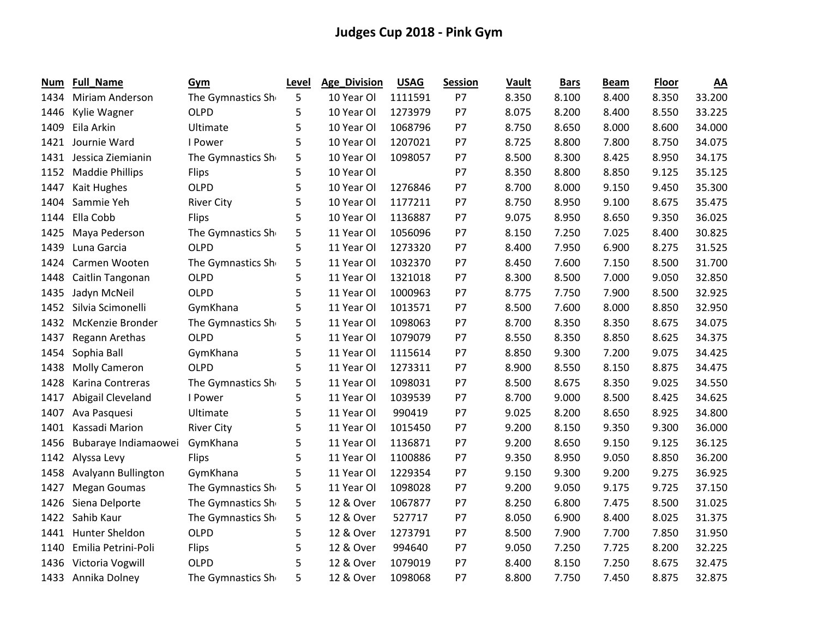| Num  | Full_Name              | Gym               | Level | Age_Division | <b>USAG</b> | <b>Session</b> | Vault | <b>Bars</b> | <b>Beam</b> | <b>Floor</b> | $\underline{AA}$ |
|------|------------------------|-------------------|-------|--------------|-------------|----------------|-------|-------------|-------------|--------------|------------------|
| 1434 | Miriam Anderson        | The Gymnastics Sh | 5     | 10 Year Ol   | 1111591     | P7             | 8.350 | 8.100       | 8.400       | 8.350        | 33.200           |
| 1446 | Kylie Wagner           | <b>OLPD</b>       | 5     | 10 Year Ol   | 1273979     | P7             | 8.075 | 8.200       | 8.400       | 8.550        | 33.225           |
| 1409 | Eila Arkin             | Ultimate          | 5     | 10 Year Ol   | 1068796     | P7             | 8.750 | 8.650       | 8.000       | 8.600        | 34.000           |
| 1421 | Journie Ward           | I Power           | 5     | 10 Year Ol   | 1207021     | P7             | 8.725 | 8.800       | 7.800       | 8.750        | 34.075           |
| 1431 | Jessica Ziemianin      | The Gymnastics Sh | 5     | 10 Year Ol   | 1098057     | P7             | 8.500 | 8.300       | 8.425       | 8.950        | 34.175           |
| 1152 | <b>Maddie Phillips</b> | <b>Flips</b>      | 5     | 10 Year Ol   |             | P7             | 8.350 | 8.800       | 8.850       | 9.125        | 35.125           |
| 1447 | Kait Hughes            | <b>OLPD</b>       | 5     | 10 Year Ol   | 1276846     | P7             | 8.700 | 8.000       | 9.150       | 9.450        | 35.300           |
| 1404 | Sammie Yeh             | <b>River City</b> | 5     | 10 Year Ol   | 1177211     | P7             | 8.750 | 8.950       | 9.100       | 8.675        | 35.475           |
| 1144 | Ella Cobb              | <b>Flips</b>      | 5     | 10 Year Ol   | 1136887     | P7             | 9.075 | 8.950       | 8.650       | 9.350        | 36.025           |
| 1425 | Maya Pederson          | The Gymnastics Sh | 5     | 11 Year Ol   | 1056096     | P7             | 8.150 | 7.250       | 7.025       | 8.400        | 30.825           |
| 1439 | Luna Garcia            | OLPD              | 5     | 11 Year Ol   | 1273320     | P7             | 8.400 | 7.950       | 6.900       | 8.275        | 31.525           |
| 1424 | Carmen Wooten          | The Gymnastics Sh | 5     | 11 Year Ol   | 1032370     | P7             | 8.450 | 7.600       | 7.150       | 8.500        | 31.700           |
| 1448 | Caitlin Tangonan       | <b>OLPD</b>       | 5     | 11 Year Ol   | 1321018     | P7             | 8.300 | 8.500       | 7.000       | 9.050        | 32.850           |
| 1435 | Jadyn McNeil           | OLPD              | 5     | 11 Year Ol   | 1000963     | P7             | 8.775 | 7.750       | 7.900       | 8.500        | 32.925           |
| 1452 | Silvia Scimonelli      | GymKhana          | 5     | 11 Year Ol   | 1013571     | P7             | 8.500 | 7.600       | 8.000       | 8.850        | 32.950           |
| 1432 | McKenzie Bronder       | The Gymnastics Sh | 5     | 11 Year Ol   | 1098063     | P7             | 8.700 | 8.350       | 8.350       | 8.675        | 34.075           |
| 1437 | Regann Arethas         | <b>OLPD</b>       | 5     | 11 Year Ol   | 1079079     | P7             | 8.550 | 8.350       | 8.850       | 8.625        | 34.375           |
| 1454 | Sophia Ball            | GymKhana          | 5     | 11 Year Ol   | 1115614     | P7             | 8.850 | 9.300       | 7.200       | 9.075        | 34.425           |
| 1438 | <b>Molly Cameron</b>   | OLPD              | 5     | 11 Year Ol   | 1273311     | P7             | 8.900 | 8.550       | 8.150       | 8.875        | 34.475           |
| 1428 | Karina Contreras       | The Gymnastics Sh | 5     | 11 Year Ol   | 1098031     | P7             | 8.500 | 8.675       | 8.350       | 9.025        | 34.550           |
| 1417 | Abigail Cleveland      | I Power           | 5     | 11 Year Ol   | 1039539     | P7             | 8.700 | 9.000       | 8.500       | 8.425        | 34.625           |
| 1407 | Ava Pasquesi           | Ultimate          | 5     | 11 Year Ol   | 990419      | P7             | 9.025 | 8.200       | 8.650       | 8.925        | 34.800           |
| 1401 | Kassadi Marion         | <b>River City</b> | 5     | 11 Year Ol   | 1015450     | P7             | 9.200 | 8.150       | 9.350       | 9.300        | 36.000           |
| 1456 | Bubaraye Indiamaowei   | GymKhana          | 5     | 11 Year Ol   | 1136871     | P7             | 9.200 | 8.650       | 9.150       | 9.125        | 36.125           |
| 1142 | Alyssa Levy            | <b>Flips</b>      | 5     | 11 Year Ol   | 1100886     | P7             | 9.350 | 8.950       | 9.050       | 8.850        | 36.200           |
| 1458 | Avalyann Bullington    | GymKhana          | 5     | 11 Year Ol   | 1229354     | P7             | 9.150 | 9.300       | 9.200       | 9.275        | 36.925           |
| 1427 | <b>Megan Goumas</b>    | The Gymnastics Sh | 5     | 11 Year Ol   | 1098028     | P7             | 9.200 | 9.050       | 9.175       | 9.725        | 37.150           |
| 1426 | Siena Delporte         | The Gymnastics Sh | 5     | 12 & Over    | 1067877     | P7             | 8.250 | 6.800       | 7.475       | 8.500        | 31.025           |
| 1422 | Sahib Kaur             | The Gymnastics Sh | 5     | 12 & Over    | 527717      | P7             | 8.050 | 6.900       | 8.400       | 8.025        | 31.375           |
| 1441 | Hunter Sheldon         | <b>OLPD</b>       | 5     | 12 & Over    | 1273791     | P7             | 8.500 | 7.900       | 7.700       | 7.850        | 31.950           |
| 1140 | Emilia Petrini-Poli    | <b>Flips</b>      | 5     | 12 & Over    | 994640      | P7             | 9.050 | 7.250       | 7.725       | 8.200        | 32.225           |
| 1436 | Victoria Vogwill       | OLPD              | 5     | 12 & Over    | 1079019     | P7             | 8.400 | 8.150       | 7.250       | 8.675        | 32.475           |
|      | 1433 Annika Dolney     | The Gymnastics Sh | 5     | 12 & Over    | 1098068     | P7             | 8.800 | 7.750       | 7.450       | 8.875        | 32.875           |